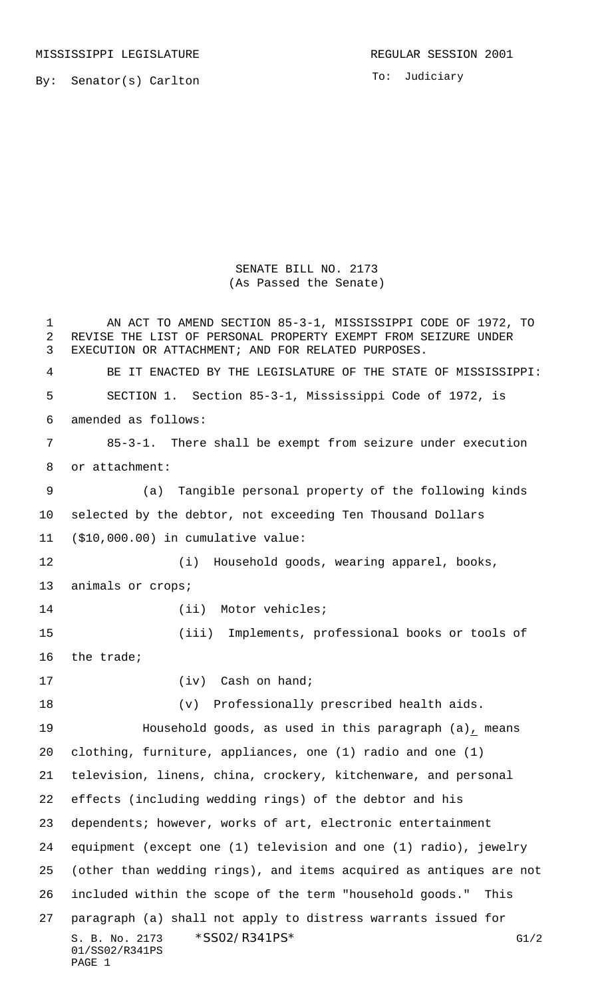MISSISSIPPI LEGISLATURE **REGULAR SESSION 2001** 

By: Senator(s) Carlton

To: Judiciary

SENATE BILL NO. 2173 (As Passed the Senate)

S. B. No. 2173 \* SSO2/R341PS\* G1/2 01/SS02/R341PS PAGE 1 1 AN ACT TO AMEND SECTION 85-3-1, MISSISSIPPI CODE OF 1972, TO REVISE THE LIST OF PERSONAL PROPERTY EXEMPT FROM SEIZURE UNDER EXECUTION OR ATTACHMENT; AND FOR RELATED PURPOSES. BE IT ENACTED BY THE LEGISLATURE OF THE STATE OF MISSISSIPPI: SECTION 1. Section 85-3-1, Mississippi Code of 1972, is amended as follows: 85-3-1. There shall be exempt from seizure under execution or attachment: (a) Tangible personal property of the following kinds selected by the debtor, not exceeding Ten Thousand Dollars (\$10,000.00) in cumulative value: (i) Household goods, wearing apparel, books, animals or crops; 14 (ii) Motor vehicles; (iii) Implements, professional books or tools of the trade; 17 (iv) Cash on hand; (v) Professionally prescribed health aids. Household goods, as used in this paragraph (a), means clothing, furniture, appliances, one (1) radio and one (1) television, linens, china, crockery, kitchenware, and personal effects (including wedding rings) of the debtor and his dependents; however, works of art, electronic entertainment equipment (except one (1) television and one (1) radio), jewelry (other than wedding rings), and items acquired as antiques are not included within the scope of the term "household goods." This paragraph (a) shall not apply to distress warrants issued for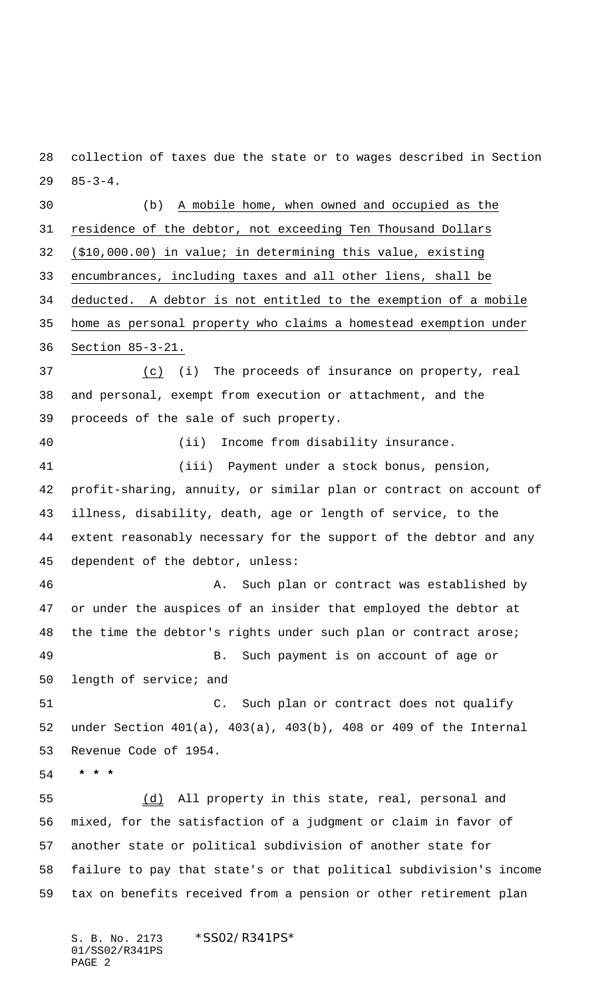85-3-4. (b) A mobile home, when owned and occupied as the 31 residence of the debtor, not exceeding Ten Thousand Dollars (\$10,000.00) in value; in determining this value, existing encumbrances, including taxes and all other liens, shall be deducted. A debtor is not entitled to the exemption of a mobile home as personal property who claims a homestead exemption under Section 85-3-21. (c) (i) The proceeds of insurance on property, real and personal, exempt from execution or attachment, and the proceeds of the sale of such property. (ii) Income from disability insurance. (iii) Payment under a stock bonus, pension, profit-sharing, annuity, or similar plan or contract on account of illness, disability, death, age or length of service, to the

collection of taxes due the state or to wages described in Section

 extent reasonably necessary for the support of the debtor and any dependent of the debtor, unless:

 A. Such plan or contract was established by or under the auspices of an insider that employed the debtor at the time the debtor's rights under such plan or contract arose; B. Such payment is on account of age or length of service; and

 C. Such plan or contract does not qualify under Section 401(a), 403(a), 403(b), 408 or 409 of the Internal Revenue Code of 1954.

 **\* \* \***

 (d) All property in this state, real, personal and mixed, for the satisfaction of a judgment or claim in favor of another state or political subdivision of another state for failure to pay that state's or that political subdivision's income tax on benefits received from a pension or other retirement plan

S. B. No. 2173 \* SS02/R341PS\* 01/SS02/R341PS PAGE 2